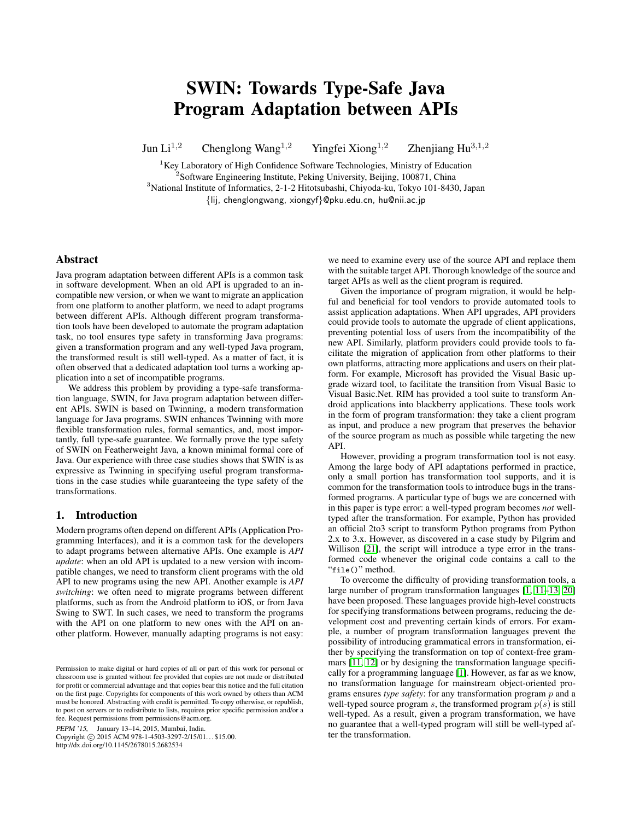# SWIN: Towards Type-Safe Java Program Adaptation between APIs

Jun Li<sup>1,2</sup> Chenglong Wang<sup>1,2</sup> Yingfei Xiong<sup>1,2</sup> Zhenjiang Hu<sup>3,1,2</sup>

 $1$ Key Laboratory of High Confidence Software Technologies, Ministry of Education <sup>2</sup>Software Engineering Institute, Peking University, Beijing, 100871, China <sup>3</sup>National Institute of Informatics, 2-1-2 Hitotsubashi, Chiyoda-ku, Tokyo 101-8430, Japan {lij, chenglongwang, xiongyf}@pku.edu.cn, hu@nii.ac.jp

## Abstract

Java program adaptation between different APIs is a common task in software development. When an old API is upgraded to an incompatible new version, or when we want to migrate an application from one platform to another platform, we need to adapt programs between different APIs. Although different program transformation tools have been developed to automate the program adaptation task, no tool ensures type safety in transforming Java programs: given a transformation program and any well-typed Java program, the transformed result is still well-typed. As a matter of fact, it is often observed that a dedicated adaptation tool turns a working application into a set of incompatible programs.

We address this problem by providing a type-safe transformation language, SWIN, for Java program adaptation between different APIs. SWIN is based on Twinning, a modern transformation language for Java programs. SWIN enhances Twinning with more flexible transformation rules, formal semantics, and, most importantly, full type-safe guarantee. We formally prove the type safety of SWIN on Featherweight Java, a known minimal formal core of Java. Our experience with three case studies shows that SWIN is as expressive as Twinning in specifying useful program transformations in the case studies while guaranteeing the type safety of the transformations.

# 1. Introduction

Modern programs often depend on different APIs (Application Programming Interfaces), and it is a common task for the developers to adapt programs between alternative APIs. One example is *API update*: when an old API is updated to a new version with incompatible changes, we need to transform client programs with the old API to new programs using the new API. Another example is *API switching*: we often need to migrate programs between different platforms, such as from the Android platform to iOS, or from Java Swing to SWT. In such cases, we need to transform the programs with the API on one platform to new ones with the API on another platform. However, manually adapting programs is not easy:

PEPM '15, January 13–14, 2015, Mumbai, India.

Copyright © 2015 ACM 978-1-4503-3297-2/15/01... \$15.00. http://dx.doi.org/10.1145/2678015.2682534

we need to examine every use of the source API and replace them with the suitable target API. Thorough knowledge of the source and target APIs as well as the client program is required.

Given the importance of program migration, it would be helpful and beneficial for tool vendors to provide automated tools to assist application adaptations. When API upgrades, API providers could provide tools to automate the upgrade of client applications, preventing potential loss of users from the incompatibility of the new API. Similarly, platform providers could provide tools to facilitate the migration of application from other platforms to their own platforms, attracting more applications and users on their platform. For example, Microsoft has provided the Visual Basic upgrade wizard tool, to facilitate the transition from Visual Basic to Visual Basic.Net. RIM has provided a tool suite to transform Android applications into blackberry applications. These tools work in the form of program transformation: they take a client program as input, and produce a new program that preserves the behavior of the source program as much as possible while targeting the new API.

However, providing a program transformation tool is not easy. Among the large body of API adaptations performed in practice, only a small portion has transformation tool supports, and it is common for the transformation tools to introduce bugs in the transformed programs. A particular type of bugs we are concerned with in this paper is type error: a well-typed program becomes *not* welltyped after the transformation. For example, Python has provided an official 2to3 script to transform Python programs from Python 2.x to 3.x. However, as discovered in a case study by Pilgrim and Willison [\[21\]](#page-11-0), the script will introduce a type error in the transformed code whenever the original code contains a call to the "file()" method.

To overcome the difficulty of providing transformation tools, a large number of program transformation languages [\[1,](#page-10-0) [11](#page-10-1)[–13,](#page-11-1) [20\]](#page-11-2) have been proposed. These languages provide high-level constructs for specifying transformations between programs, reducing the development cost and preventing certain kinds of errors. For example, a number of program transformation languages prevent the possibility of introducing grammatical errors in transformation, either by specifying the transformation on top of context-free grammars [\[11,](#page-10-1) [12\]](#page-10-2) or by designing the transformation language specifically for a programming language [\[1\]](#page-10-0). However, as far as we know, no transformation language for mainstream object-oriented programs ensures *type safety*: for any transformation program p and a well-typed source program s, the transformed program  $p(s)$  is still well-typed. As a result, given a program transformation, we have no guarantee that a well-typed program will still be well-typed after the transformation.

Permission to make digital or hard copies of all or part of this work for personal or classroom use is granted without fee provided that copies are not made or distributed for profit or commercial advantage and that copies bear this notice and the full citation on the first page. Copyrights for components of this work owned by others than ACM must be honored. Abstracting with credit is permitted. To copy otherwise, or republish, to post on servers or to redistribute to lists, requires prior specific permission and/or a fee. Request permissions from permissions@acm.org.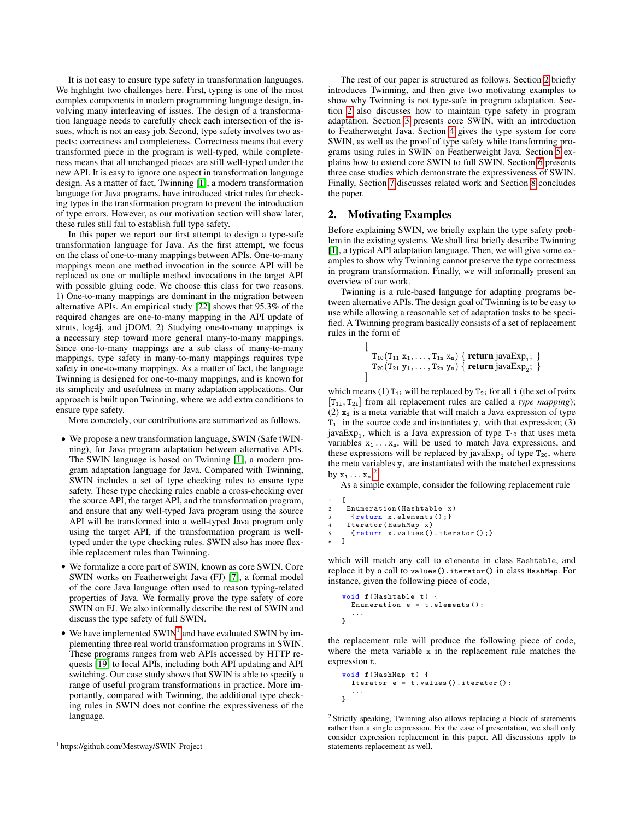It is not easy to ensure type safety in transformation languages. We highlight two challenges here. First, typing is one of the most complex components in modern programming language design, involving many interleaving of issues. The design of a transformation language needs to carefully check each intersection of the issues, which is not an easy job. Second, type safety involves two aspects: correctness and completeness. Correctness means that every transformed piece in the program is well-typed, while completeness means that all unchanged pieces are still well-typed under the new API. It is easy to ignore one aspect in transformation language design. As a matter of fact, Twinning [\[1\]](#page-10-0), a modern transformation language for Java programs, have introduced strict rules for checking types in the transformation program to prevent the introduction of type errors. However, as our motivation section will show later, these rules still fail to establish full type safety.

In this paper we report our first attempt to design a type-safe transformation language for Java. As the first attempt, we focus on the class of one-to-many mappings between APIs. One-to-many mappings mean one method invocation in the source API will be replaced as one or multiple method invocations in the target API with possible gluing code. We choose this class for two reasons. 1) One-to-many mappings are dominant in the migration between alternative APIs. An empirical study [\[22\]](#page-11-3) shows that 95.3% of the required changes are one-to-many mapping in the API update of struts, log4j, and jDOM. 2) Studying one-to-many mappings is a necessary step toward more general many-to-many mappings. Since one-to-many mappings are a sub class of many-to-many mappings, type safety in many-to-many mappings requires type safety in one-to-many mappings. As a matter of fact, the language Twinning is designed for one-to-many mappings, and is known for its simplicity and usefulness in many adaptation applications. Our approach is built upon Twinning, where we add extra conditions to ensure type safety.

More concretely, our contributions are summarized as follows.

- We propose a new transformation language, SWIN (Safe tWINning), for Java program adaptation between alternative APIs. The SWIN language is based on Twinning [\[1\]](#page-10-0), a modern program adaptation language for Java. Compared with Twinning, SWIN includes a set of type checking rules to ensure type safety. These type checking rules enable a cross-checking over the source API, the target API, and the transformation program, and ensure that any well-typed Java program using the source API will be transformed into a well-typed Java program only using the target API, if the transformation program is welltyped under the type checking rules. SWIN also has more flexible replacement rules than Twinning.
- We formalize a core part of SWIN, known as core SWIN. Core SWIN works on Featherweight Java (FJ) [\[7\]](#page-10-3), a formal model of the core Java language often used to reason typing-related properties of Java. We formally prove the type safety of core SWIN on FJ. We also informally describe the rest of SWIN and discuss the type safety of full SWIN.
- $\bullet$  We have implemented SWIN<sup>[1](#page-1-0)</sup> and have evaluated SWIN by implementing three real world transformation programs in SWIN. These programs ranges from web APIs accessed by HTTP requests [\[19\]](#page-11-4) to local APIs, including both API updating and API switching. Our case study shows that SWIN is able to specify a range of useful program transformations in practice. More importantly, compared with Twinning, the additional type checking rules in SWIN does not confine the expressiveness of the language.

The rest of our paper is structured as follows. Section [2](#page-1-1) briefly introduces Twinning, and then give two motivating examples to show why Twinning is not type-safe in program adaptation. Section [2](#page-1-1) also discusses how to maintain type safety in program adaptation. Section [3](#page-3-0) presents core SWIN, with an introduction to Featherweight Java. Section [4](#page-4-0) gives the type system for core SWIN, as well as the proof of type safety while transforming programs using rules in SWIN on Featherweight Java. Section [5](#page-7-0) explains how to extend core SWIN to full SWIN. Section [6](#page-8-0) presents three case studies which demonstrate the expressiveness of SWIN. Finally, Section [7](#page-9-0) discusses related work and Section [8](#page-10-4) concludes the paper.

## <span id="page-1-1"></span>2. Motivating Examples

 $\mathbf{r}$ 

Before explaining SWIN, we briefly explain the type safety problem in the existing systems. We shall first briefly describe Twinning [\[1\]](#page-10-0), a typical API adaptation language. Then, we will give some examples to show why Twinning cannot preserve the type correctness in program transformation. Finally, we will informally present an overview of our work.

Twinning is a rule-based language for adapting programs between alternative APIs. The design goal of Twinning is to be easy to use while allowing a reasonable set of adaptation tasks to be specified. A Twinning program basically consists of a set of replacement rules in the form of

$$
\left\{\begin{array}{l} T_{10}(T_{11} x_1, \ldots, T_{1n} x_n) \{ \text{ return } javaExp_1; \\ T_{20}(T_{21} y_1, \ldots, T_{2n} y_n) \{ \text{ return } javaExp_2; \} \end{array}\right.
$$

which means (1)  $T_{1i}$  will be replaced by  $T_{2i}$  for all i (the set of pairs  $[T_{1i}, T_{2i}]$  from all replacement rules are called a *type mapping*); (2)  $x_i$  is a meta variable that will match a Java expression of type  $T_{1i}$  in the source code and instantiates  $y_i$  with that expression; (3) java $Exp_1$ , which is a Java expression of type  $T_{10}$  that uses meta variables  $x_1 \ldots x_n$ , will be used to match Java expressions, and these expressions will be replaced by java $Exp_2$  of type  $T_{20}$ , where the meta variables  $y_i$  are instantiated with the matched expressions by  $x_1 \ldots x_n^2$  $x_1 \ldots x_n^2$ .

As a simple example, consider the following replacement rule

```
\Gamma2 Enumeration (Hashtable x)
             { \n 1} { \n 1} { \n 2} { \n 3} { \n 4} { \n 5} { \n 6} { \n 8} { \n 8} { \n 9} { \n 1} { \n 1} { \n 3} { \n 6} { \n 8} { \n 9} { \n 1} { \n 1} { \n 1} { \n 1} { \n 1} { \n 1} { \n 1} { \n 1} { \n 4 Iterator ( HashMap x)
5 { return x. values () . iterator () ;}
 6 ]
```
which will match any call to elements in class Hashtable, and replace it by a call to values().iterator() in class HashMap. For instance, given the following piece of code,

```
void f(Hashtable t) {
  Enumeration e = t. elements ():
  ...
}
```
the replacement rule will produce the following piece of code, where the meta variable x in the replacement rule matches the expression t.

```
void f( HashMap t) {
  Iterator e = t . values () . iterator () :
  ...
}
```
<span id="page-1-0"></span><sup>1</sup> https://github.com/Mestway/SWIN-Project

<span id="page-1-2"></span><sup>2</sup> Strictly speaking, Twinning also allows replacing a block of statements rather than a single expression. For the ease of presentation, we shall only consider expression replacement in this paper. All discussions apply to statements replacement as well.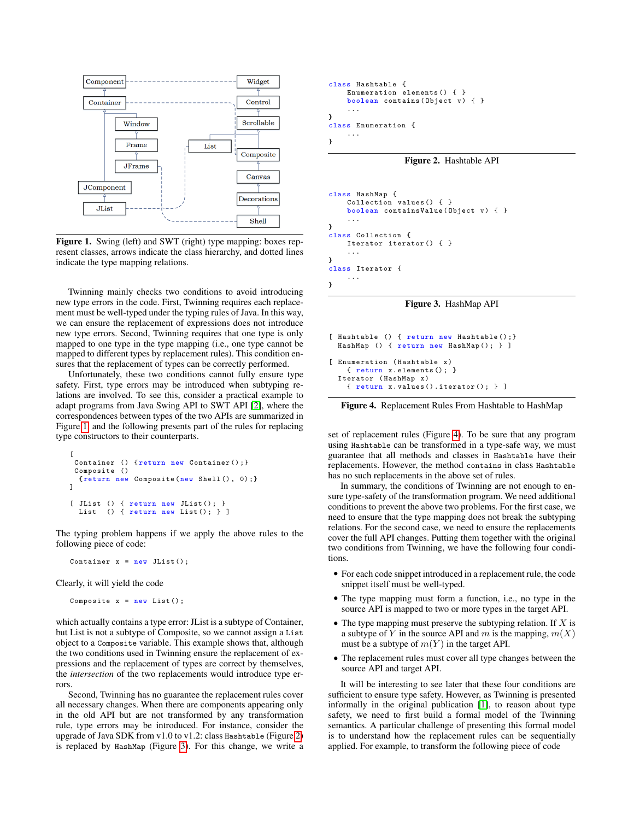

<span id="page-2-0"></span>Figure 1. Swing (left) and SWT (right) type mapping: boxes represent classes, arrows indicate the class hierarchy, and dotted lines indicate the type mapping relations.

Twinning mainly checks two conditions to avoid introducing new type errors in the code. First, Twinning requires each replacement must be well-typed under the typing rules of Java. In this way, we can ensure the replacement of expressions does not introduce new type errors. Second, Twinning requires that one type is only mapped to one type in the type mapping (i.e., one type cannot be mapped to different types by replacement rules). This condition ensures that the replacement of types can be correctly performed.

Unfortunately, these two conditions cannot fully ensure type safety. First, type errors may be introduced when subtyping relations are involved. To see this, consider a practical example to adapt programs from Java Swing API to SWT API [\[2\]](#page-10-5), where the correspondences between types of the two APIs are summarized in Figure [1,](#page-2-0) and the following presents part of the rules for replacing type constructors to their counterparts.

```
\GammaContainer () { return new Container () ; }
 Composite ()
  { return new Composite ( new Shell ( ), 0) ; }
\overline{1}[ JList () \{ return new JList(); \}List () { return new List(); } ]
```
The typing problem happens if we apply the above rules to the following piece of code:

Container  $x = new$  JList();

Clearly, it will yield the code

```
Composite x = new List () ;
```
which actually contains a type error: JList is a subtype of Container, but List is not a subtype of Composite, so we cannot assign a List object to a Composite variable. This example shows that, although the two conditions used in Twinning ensure the replacement of expressions and the replacement of types are correct by themselves, the *intersection* of the two replacements would introduce type errors.

Second, Twinning has no guarantee the replacement rules cover all necessary changes. When there are components appearing only in the old API but are not transformed by any transformation rule, type errors may be introduced. For instance, consider the upgrade of Java SDK from v1.0 to v1.2: class Hashtable (Figure [2\)](#page-2-1) is replaced by HashMap (Figure [3\)](#page-2-2). For this change, we write a

```
class Hashtable {
    Enumeration elements () { }
    boolean contains (Object v) { }
     ...
}
class Enumeration {
     ...
}
```

```
Figure 2. Hashtable API
```

```
class HashMap {
    Collection values () { }
    boolean containsValue (Object v) { }
    ...
}
class Collection {
    Iterator iterator () { }
    ...
}
class Iterator {
    ...
}
```
<span id="page-2-2"></span>Figure 3. HashMap API

```
[ Hashtable () { return new Hashtable(); }
  HashMap () { return new HashMap(); } ]
[ Enumeration (Hashtable x)
    { return x. elements () ; }
  Iterator (HashMap x)
    { return x. values () . iterator () ; } ]
```
<span id="page-2-3"></span>Figure 4. Replacement Rules From Hashtable to HashMap

set of replacement rules (Figure [4\)](#page-2-3). To be sure that any program using Hashtable can be transformed in a type-safe way, we must guarantee that all methods and classes in Hashtable have their replacements. However, the method contains in class Hashtable has no such replacements in the above set of rules.

In summary, the conditions of Twinning are not enough to ensure type-safety of the transformation program. We need additional conditions to prevent the above two problems. For the first case, we need to ensure that the type mapping does not break the subtyping relations. For the second case, we need to ensure the replacements cover the full API changes. Putting them together with the original two conditions from Twinning, we have the following four conditions.

- For each code snippet introduced in a replacement rule, the code snippet itself must be well-typed.
- The type mapping must form a function, i.e., no type in the source API is mapped to two or more types in the target API.
- The type mapping must preserve the subtyping relation. If  $X$  is a subtype of Y in the source API and m is the mapping,  $m(X)$ must be a subtype of  $m(Y)$  in the target API.
- The replacement rules must cover all type changes between the source API and target API.

It will be interesting to see later that these four conditions are sufficient to ensure type safety. However, as Twinning is presented informally in the original publication [\[1\]](#page-10-0), to reason about type safety, we need to first build a formal model of the Twinning semantics. A particular challenge of presenting this formal model is to understand how the replacement rules can be sequentially applied. For example, to transform the following piece of code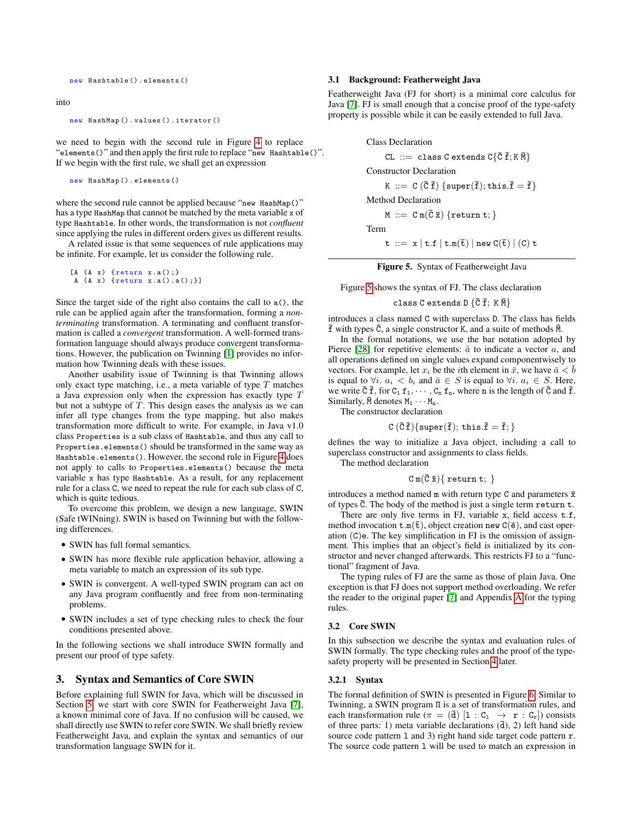```
new Hashtable () . elements ()
```
into

```
new HashMap () . values () . iterator ()
```
we need to begin with the second rule in Figure [4](#page-2-3) to replace "elements()" and then apply the first rule to replace "new Hashtable()". If we begin with the first rule, we shall get an expression

new HashMap () . elements ()

where the second rule cannot be applied because "new HashMap()" has a type HashMap that cannot be matched by the meta variable x of type Hashtable. In other words, the transformation is not *confluent* since applying the rules in different orders gives us different results.

A related issue is that some sequences of rule applications may be infinite. For example, let us consider the following rule.

```
[A (A x) {return x.a();}A (A x) { return x.a () .a () ;}]
```
Since the target side of the right also contains the call to a(), the rule can be applied again after the transformation, forming a *nonterminating* transformation. A terminating and confluent transformation is called a *convergent* transformation. A well-formed transformation language should always produce convergent transformations. However, the publication on Twinning [\[1\]](#page-10-0) provides no information how Twinning deals with these issues.

Another usability issue of Twinning is that Twinning allows only exact type matching, i.e., a meta variable of type  $T$  matches a Java expression only when the expression has exactly type T but not a subtype of  $T$ . This design eases the analysis as we can infer all type changes from the type mapping, but also makes transformation more difficult to write. For example, in Java v1.0 class Properties is a sub class of Hashtable, and thus any call to Properties.elements() should be transformed in the same way as Hashtable.elements(). However, the second rule in Figure [4](#page-2-3) does not apply to calls to Properties.elements() because the meta variable x has type Hashtable. As a result, for any replacement rule for a class C, we need to repeat the rule for each sub class of C, which is quite tedious.

To overcome this problem, we design a new language, SWIN (Safe tWINning). SWIN is based on Twinning but with the following differences.

- SWIN has full formal semantics.
- SWIN has more flexible rule application behavior, allowing a meta variable to match an expression of its sub type.
- SWIN is convergent. A well-typed SWIN program can act on any Java program confluently and free from non-terminating problems.
- SWIN includes a set of type checking rules to check the four conditions presented above.

In the following sections we shall introduce SWIN formally and present our proof of type safety.

# <span id="page-3-0"></span>3. Syntax and Semantics of Core SWIN

Before explaining full SWIN for Java, which will be discussed in Section [5,](#page-7-0) we start with core SWIN for Featherweight Java [\[7\]](#page-10-3), a known minimal core of Java. If no confusion will be caused, we shall directly use SWIN to refer core SWIN. We shall briefly review Featherweight Java, and explain the syntax and semantics of our transformation language SWIN for it.

## 3.1 Background: Featherweight Java

Featherweight Java (FJ for short) is a minimal core calculus for Java [\[7\]](#page-10-3). FJ is small enough that a concise proof of the type-safety property is possible while it can be easily extended to full Java.

```
Class Declaration
       CL ::= class C extends C\{\bar{C}\bar{f}; K\bar{M}\}\Constructor Declaration
       K ::= C(\overline{C}\overline{f}) {super(\overline{f}); this.\overline{f} = \overline{f}}
Method Declaration
       M ::= C m(\overline{C} \overline{x}) \{return t; \}Term
       t ::= x | t.f | t.m(\overline{t}) | new C(\overline{t}) | (C) t
```
<span id="page-3-1"></span>Figure 5. Syntax of Featherweight Java

Figure [5](#page-3-1) shows the syntax of FJ. The class declaration

```
class C extends D \{\bar{C}\bar{f}; K\bar{M}\}\
```
introduces a class named C with superclass D. The class has fields  $\bar{f}$  with types  $\bar{C}$ , a single constructor K, and a suite of methods  $\bar{M}$ .

In the formal notations, we use the bar notation adopted by Pierce [\[28\]](#page-11-5) for repetitive elements:  $\bar{a}$  to indicate a vector a, and all operations defined on single values expand componentwisely to vectors. For example, let  $x_i$  be the *i*th element in  $\overline{x}$ , we have  $\overline{a} < \overline{b}$ is equal to  $\forall i. a_i < b_i$  and  $\bar{a} \in S$  is equal to  $\forall i. a_i \in S$ . Here, we write  $\bar{C}$   $\bar{F}$ , for  $C_1$   $f_1$ ,  $\cdots$ ,  $C_n$   $f_n$ , where n is the length of  $\bar{C}$  and  $\bar{F}$ . Similarly,  $\bar{M}$  denotes  $M_1 \cdots M_n$ .

The constructor declaration

$$
C(\bar{C}\bar{f})
$$
{super( $\bar{f}$ ); this. $\bar{f} = \bar{f}$ .)

defines the way to initialize a Java object, including a call to superclass constructor and assignments to class fields.

The method declaration

```
C m(\bar{C} \bar{x}) return t; }
```
introduces a method named m with return type C and parameters  $\bar{x}$ of types ¯C. The body of the method is just a single term return t.

There are only five terms in FJ, variable x, field access t.f, method invocation  $t.m(\bar{t})$ , object creation new  $C(\bar{e})$ , and cast operation (C)e. The key simplification in FJ is the omission of assignment. This implies that an object's field is initialized by its constructor and never changed afterwards. This restricts FJ to a "functional" fragment of Java.

The typing rules of FJ are the same as those of plain Java. One exception is that FJ does not support method overloading. We refer the reader to the original paper [\[7\]](#page-10-3) and Appendix [A](#page-11-6) for the typing rules.

## 3.2 Core SWIN

In this subsection we describe the syntax and evaluation rules of SWIN formally. The type checking rules and the proof of the typesafety property will be presented in Section [4](#page-4-0) later.

# 3.2.1 Syntax

The formal definition of SWIN is presented in Figure [6.](#page-4-1) Similar to Twinning, a SWIN program Π is a set of transformation rules, and each transformation rule ( $\pi = (\bar{d})$  [1 : C<sub>1</sub>  $\rightarrow$  r : C<sub>r</sub>]) consists of three parts: 1) meta variable declarations  $(\bar{d})$ , 2) left hand side source code pattern 1 and 3) right hand side target code pattern  $r$ . The source code pattern 1 will be used to match an expression in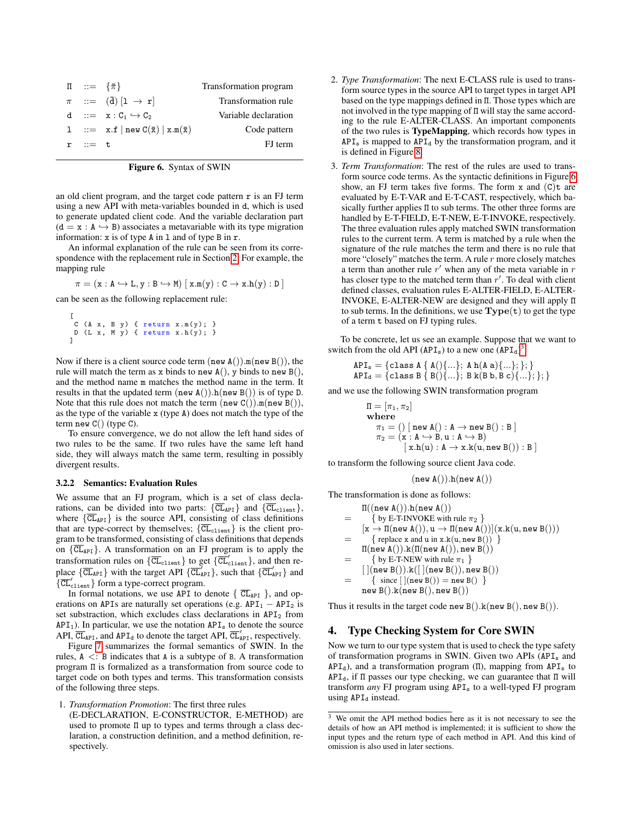| $\Pi$ ::= $\{\bar{\pi}\}\$ |                                                    | Transformation program |
|----------------------------|----------------------------------------------------|------------------------|
|                            | $\pi$ ::= $(\mathbf{\bar{d}})$ $[1 \rightarrow r]$ | Transformation rule    |
|                            | d ::= $x: C_1 \hookrightarrow C_2$                 | Variable declaration   |
|                            | 1 ::= $x.f \mid new C(\bar{x}) \mid x.m(\bar{x})$  | Code pattern           |
| $r \t:= t$                 |                                                    | FJ term                |

<span id="page-4-1"></span>

| <b>Figure 6.</b> Syntax of SWIN |  |  |
|---------------------------------|--|--|
|---------------------------------|--|--|

an old client program, and the target code pattern  $r$  is an FJ term using a new API with meta-variables bounded in d, which is used to generate updated client code. And the variable declaration part  $(d = x : A \hookrightarrow B)$  associates a metavariable with its type migration information:  $x$  is of type A in 1 and of type B in  $r$ .

An informal explanation of the rule can be seen from its correspondence with the replacement rule in Section [2.](#page-1-1) For example, the mapping rule

 $\pi = (x : A \hookrightarrow L, y : B \hookrightarrow M)$   $\left[ x.m(y) : C \rightarrow x.h(y) : D \right]$ 

can be seen as the following replacement rule:

```
\sqrt{ }C (A x, B y) { return x.m(y); }<br>D (L x, M y) { return x.h(y); }
]
```
Now if there is a client source code term  $(new A())$ .m(new B()), the rule will match the term as x binds to new  $A()$ , y binds to new  $B()$ , and the method name m matches the method name in the term. It results in that the updated term  $(new A())$ .h(new B()) is of type D. Note that this rule does not match the term  $(new C()) . m(new B())$ , as the type of the variable x (type A) does not match the type of the term new  $C()$  (type C).

To ensure convergence, we do not allow the left hand sides of two rules to be the same. If two rules have the same left hand side, they will always match the same term, resulting in possibly divergent results.

## 3.2.2 Semantics: Evaluation Rules

We assume that an FJ program, which is a set of class declarations, can be divided into two parts:  $\{\overline{\text{CL}}_{\text{API}}\}$  and  $\{\overline{\text{CL}}_{\text{client}}\},\$ where  $\{ \overline{\text{CL}}_{\text{APT}} \}$  is the source API, consisting of class definitions that are type-correct by themselves;  $\{\overline{\text{CL}}_{\text{client}}\}$  is the client program to be transformed, consisting of class definitions that depends on  $\{ \overline{\text{CL}}_{\text{APT}} \}$ . A transformation on an FJ program is to apply the transformation rules on  $\{\overline{\text{CL}}_{\text{client}}\}$  to get  $\{\overline{\text{CL}}'_{\text{client}}\}$ , and then replace  $\{\overline{\text{CL}}_{\text{APT}}\}$  with the target API  $\{\overline{\text{CL}}_{\text{APT}}\}$ , such that  $\{\overline{\text{CL}}_{\text{APT}}\}$  and  $\{\overline{\text{CL}}'_{\text{client}}\}$  form a type-correct program.

In formal notations, we use API to denote  $\{ \overline{CL}_{API} \}$ , and operations on APIs are naturally set operations (e.g.  $API<sub>1</sub> - API<sub>2</sub>$  is set substraction, which excludes class declarations in API<sub>2</sub> from  $API<sub>1</sub>$ ). In particular, we use the notation  $API<sub>s</sub>$  to denote the source API,  $\overline{CL}_{\text{APT}}$ , and API<sub>d</sub> to denote the target API,  $\overline{CL}'_{\text{APT}}$ , respectively.

Figure [7](#page-5-0) summarizes the formal semantics of SWIN. In the rules,  $A \leq B$  indicates that A is a subtype of B. A transformation program Π is formalized as a transformation from source code to target code on both types and terms. This transformation consists of the following three steps.

1. *Transformation Promotion*: The first three rules

(E-DECLARATION, E-CONSTRUCTOR, E-METHOD) are used to promote Π up to types and terms through a class declaration, a construction definition, and a method definition, respectively.

- 2. *Type Transformation*: The next E-CLASS rule is used to transform source types in the source API to target types in target API based on the type mappings defined in Π. Those types which are not involved in the type mapping of Π will stay the same according to the rule E-ALTER-CLASS. An important components of the two rules is TypeMapping, which records how types in  $API<sub>s</sub>$  is mapped to  $API<sub>d</sub>$  by the transformation program, and it is defined in Figure [8.](#page-5-1)
- 3. *Term Transformation*: The rest of the rules are used to transform source code terms. As the syntactic definitions in Figure [6](#page-4-1) show, an FJ term takes five forms. The form  $x$  and  $(C)$ t are evaluated by E-T-VAR and E-T-CAST, respectively, which basically further applies Π to sub terms. The other three forms are handled by E-T-FIELD, E-T-NEW, E-T-INVOKE, respectively. The three evaluation rules apply matched SWIN transformation rules to the current term. A term is matched by a rule when the signature of the rule matches the term and there is no rule that more "closely" matches the term. A rule  $r$  more closely matches a term than another rule  $r'$  when any of the meta variable in  $r$ has closer type to the matched term than  $r'$ . To deal with client defined classes, evaluation rules E-ALTER-FIELD, E-ALTER-INVOKE, E-ALTER-NEW are designed and they will apply Π to sub terms. In the definitions, we use  $Type(t)$  to get the type of a term t based on FJ typing rules.

To be concrete, let us see an example. Suppose that we want to switch from the old API ( $API<sub>s</sub>$ ) to a new one  $API<sub>d</sub>$ )<sup>[3](#page-4-2)</sup>

$$
\begin{array}{l}\mathtt{API_s} = \{\mathtt{class\ A}\ \{\ A(\texttt{)}\{\!\ldots\};\ A\ h(\texttt{A\ a})\{\!\ldots\};\};\} \ \mathtt{API_d} = \{\mathtt{class\ B}\ \{\ B(\texttt{)}\{\ldots\};\ B\ \mathtt{k}(\texttt{B\ b},\texttt{B\ c})\{\ldots\};\} \} \end{array}
$$

and we use the following SWIN transformation program

$$
\begin{array}{l} \Pi = [\pi_1, \pi_2] \\ \textbf{where} \\ \pi_1 = () ~[\texttt{new A() : A \rightarrow new B() : B} ] \\ \pi_2 = (\texttt{x : A \hookrightarrow B, u : A \hookrightarrow B)} \\ ~[\texttt{x.h(u) : A \rightarrow x.k(u, new B()) : B} ] \end{array}
$$

to transform the following source client Java code.

$$
(\texttt{new A}()) . \texttt{h} (\texttt{new A}())
$$

The transformation is done as follows:

```
\Pi((\texttt{new A}))).h(\texttt{new A}())\{ by E-T-INVOKE with rule \pi_2 \}[\mathtt{x} \rightarrow \Pi(\mathtt{new}~\mathtt{A}());\mathtt{u} \rightarrow \Pi(\mathtt{new}~\mathtt{A}());\mathtt{(x}.k(\mathtt{u}, \mathtt{new}~\mathtt{B}());{ replace x and u in x.k(u, new B()) }
       \Pi(\texttt{new A}()) \cdot k(\Pi(\texttt{new A}());\texttt{new B}())= { by E-T-NEW with rule \pi_1 }
       [ |(\texttt{new }B|)).\kappa([ |(\texttt{new }B|)),\texttt{new }B|))\{ \text{ since } [\ ](\text{new }B()) = \text{new }B() \}new B().k(new B(), new B())
```
Thus it results in the target code new  $B(.) \cdot k(new B(), new B())$ .

# <span id="page-4-0"></span>4. Type Checking System for Core SWIN

Now we turn to our type system that is used to check the type safety of transformation programs in SWIN. Given two APIs (API<sup>s</sup> and  $API_d$ ), and a transformation program (Π), mapping from  $API_s$  to  $API<sub>d</sub>$ , if  $\Pi$  passes our type checking, we can guarantee that  $\Pi$  will transform *any* FJ program using API<sup>s</sup> to a well-typed FJ program using API<sub>d</sub> instead.

<span id="page-4-2"></span><sup>3</sup> We omit the API method bodies here as it is not necessary to see the details of how an API method is implemented; it is sufficient to show the input types and the return type of each method in API. And this kind of omission is also used in later sections.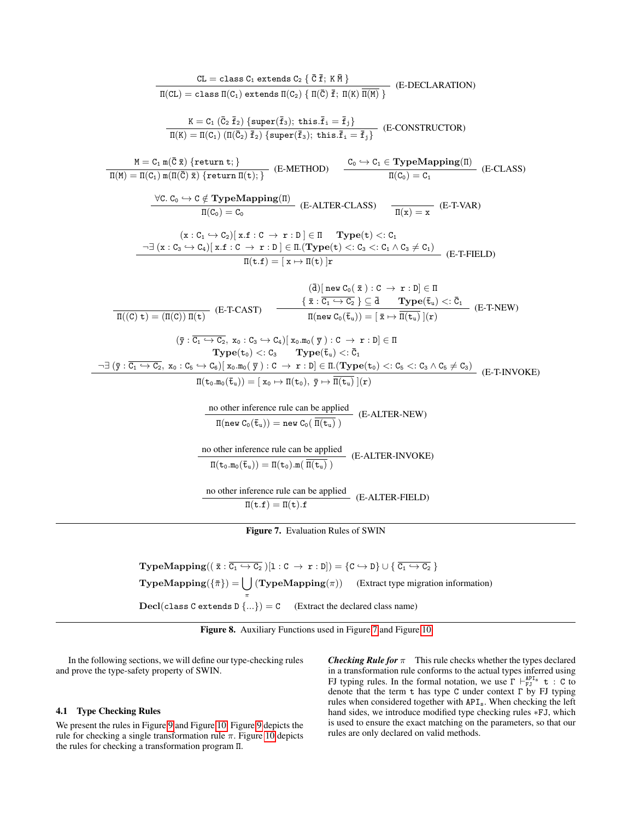

<span id="page-5-0"></span>Figure 7. Evaluation Rules of SWIN

 $\text{TypeMapping}((\bar{x}: \overline{C_1 \hookrightarrow C_2})[1:C \rightarrow r:D]) = \{C \hookrightarrow D\} \cup \{\overline{C_1 \hookrightarrow C_2}\}$  $\textbf{TypeMapping}(\{\bar{\pi}\}) = [\ ](\textbf{TypeMapping}(\pi))$  (Extract type migration information) π Decl(class C extends  $D\{...\}$ ) = C (Extract the declared class name)

<span id="page-5-1"></span>

| Figure 8. Auxiliary Functions used in Figure 7 and Figure 10 |  |  |  |  |  |  |  |
|--------------------------------------------------------------|--|--|--|--|--|--|--|
|--------------------------------------------------------------|--|--|--|--|--|--|--|

In the following sections, we will define our type-checking rules and prove the type-safety property of SWIN.

# 4.1 Type Checking Rules

We present the rules in Figure [9](#page-6-1) and Figure [10.](#page-6-0) Figure 9 depicts the rule for checking a single transformation rule  $\pi$ . Figure [10](#page-6-0) depicts the rules for checking a transformation program Π.

*Checking Rule for*  $\pi$  This rule checks whether the types declared in a transformation rule conforms to the actual types inferred using FJ typing rules. In the formal notation, we use  $\Gamma \vdash_{FJ}^{API_s} t : C$  to denote that the term t has type C under context Γ by FJ typing rules when considered together with APIs. When checking the left hand sides, we introduce modified type checking rules ∗FJ, which is used to ensure the exact matching on the parameters, so that our rules are only declared on valid methods.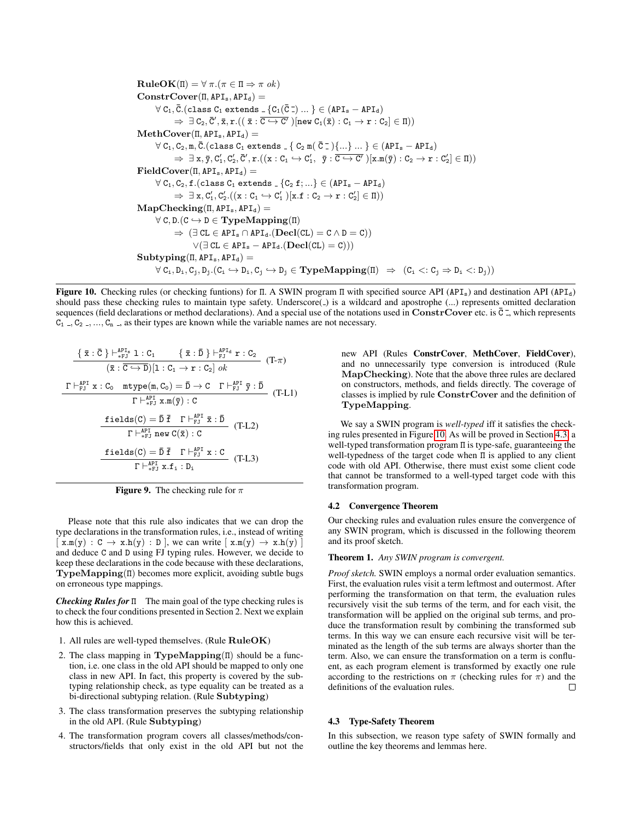```
\mathbf{RuleOK}(\Pi) = \forall \pi . (\pi \in \Pi \Rightarrow \pi \text{ ok})\text{ConstrCover}(\Pi, \text{API}_s, \text{API}_d) =\forall C_1, \overline{C}.(class C_1 extends \underline{C_1(\overline{C}^{\underline{-}}) ... } \in (APT_s - API_d)\Rightarrow \exists C_2, \overline{C}', \overline{x}, r. ((\overline{x} : \overline{C \hookrightarrow C'})[\text{new } C_1(\overline{x}) : C_1 \rightarrow r : C_2] \in \Pi))
         \forall C_1, C_2, m, \overline{C}.(class C_1 extends \text{ }_{-} \{ C_2 m(\overline{C}^-) \} ... \} \text{ }_{-} \{ (API_s - API_d)\Rightarrow \exists \; \texttt{x}, \bar{\texttt{y}}, \texttt{C}'_1, \texttt{C}'_2, \bar{\texttt{C}}', \texttt{r}.((\texttt{x}: \texttt{C}_1 \hookrightarrow \texttt{C}'_1, \; \bar{\texttt{y}}: \overline{\texttt{C} \hookrightarrow \texttt{C}'})[\texttt{x}. \texttt{m}(\bar{\texttt{y}}): \texttt{C}_2 \rightarrow \texttt{r}: \texttt{C}'_2] \in \Pi))FieldCover(\Pi, API_s, API_d) =\forall C_1, C_2, f.(class C_1 extends \subset {C_2 f; ...} \in (API_s - API_d)\Rightarrow \exists \mathbf{x}, C'_1, C'_2.((\mathbf{x}: C_1 \hookrightarrow C'_1)[\mathbf{x}.\mathbf{f}: C_2 \rightarrow \mathbf{r}: C'_2] \in \Pi))\text{MapChecking}(\Pi, \text{API}_s, \text{API}_d) =\forall C, D.(C \hookrightarrow D \in TypeMapping(Π)
                   \Rightarrow (∃ CL ∈ API<sub>s</sub> ∩ API<sub>d</sub>.(Decl(CL) = C ∧ D = C))
                            \vee (\exists \text{ CL} \in \text{API}_s - \text{API}_d.(\text{Decl}(CL) = C)))\text{Subtyping}(\Pi, \text{API}_s, \text{API}_d) =\forall C_i, D_i, C_j, D_j. (C_i \hookrightarrow D_i, C_j \hookrightarrow D_j \in \mathbf{TypeMapping}(\Pi) \Rightarrow (C_i \lt C_j \Rightarrow D_i \lt D_j))
```
<span id="page-6-0"></span>**Figure 10.** Checking rules (or checking funtions) for Π. A SWIN program Π with specified source API (API<sub>s</sub>) and destination API (API<sub>d</sub>) should pass these checking rules to maintain type safety. Underscore(<sub>-</sub>) is a wildcard and apostrophe (...) represents omitted declaration sequences (field declarations or method declarations). And a special use of the notations used in Constr Cover etc. is  $\bar{c}$  =, which represents  $C_1$ ,  $C_2$ , ...,  $C_n$ , as their types are known while the variable names are not necessary.

$$
\frac{\{\bar{x}: \bar{C}\} \vdash^{API}_{*FJ} 1: C_{1} \{\bar{x}: \bar{D}\} \vdash^{API}_{FJ} r: C_{2}}{(\bar{x}: \bar{C} \rightarrow D)[1: C_{1} \rightarrow r: C_{2}] \text{ ok}} \quad (T-\pi)
$$
\n
$$
\frac{\Gamma \vdash^{API}_{FJ} x: C_{0} \text{ mtype}(\mathfrak{m}, C_{0}) = \bar{D} \rightarrow C \quad \Gamma \vdash^{API}_{FJ} \bar{y}: \bar{D}}{\Gamma \vdash^{API}_{*FJ} x. \mathfrak{m}(\bar{y}): C} \quad (T-L1)
$$
\n
$$
\frac{\text{fields}(C) = \bar{D} \bar{f} \quad \Gamma \vdash^{API}_{FJ} \bar{x}: \bar{D}}{\Gamma \vdash^{API}_{*FJ} \text{ new } C(\bar{x}): C} \quad (T-L2)
$$
\n
$$
\frac{\text{fields}(C) = \bar{D} \bar{f} \quad \Gamma \vdash^{API}_{FJ} x: C}{\Gamma \vdash^{API}_{*FJ} x. f_{1}: D_{1}} \quad (T-L3)
$$

<span id="page-6-1"></span>**Figure 9.** The checking rule for  $\pi$ 

Please note that this rule also indicates that we can drop the type declarations in the transformation rules, i.e., instead of writing  $\left[ x.m(y) : C \rightarrow x.h(y) : D \right]$ , we can write  $\left[ x.m(y) \rightarrow x.h(y) \right]$ and deduce C and D using FJ typing rules. However, we decide to keep these declarations in the code because with these declarations, TypeMapping(Π) becomes more explicit, avoiding subtle bugs on erroneous type mappings.

*Checking Rules for* Π The main goal of the type checking rules is to check the four conditions presented in Section 2. Next we explain how this is achieved.

- 1. All rules are well-typed themselves. (Rule RuleOK)
- 2. The class mapping in  $TypeMapping(\Pi)$  should be a function, i.e. one class in the old API should be mapped to only one class in new API. In fact, this property is covered by the subtyping relationship check, as type equality can be treated as a bi-directional subtyping relation. (Rule Subtyping)
- 3. The class transformation preserves the subtyping relationship in the old API. (Rule Subtyping)
- 4. The transformation program covers all classes/methods/constructors/fields that only exist in the old API but not the

new API (Rules ConstrCover, MethCover, FieldCover), and no unnecessarily type conversion is introduced (Rule MapChecking). Note that the above three rules are declared on constructors, methods, and fields directly. The coverage of classes is implied by rule ConstrCover and the definition of TypeMapping.

We say a SWIN program is *well-typed* iff it satisfies the checking rules presented in Figure [10.](#page-6-0) As will be proved in Section [4.3,](#page-6-2) a well-typed transformation program Π is type-safe, guaranteeing the well-typedness of the target code when Π is applied to any client code with old API. Otherwise, there must exist some client code that cannot be transformed to a well-typed target code with this transformation program.

## 4.2 Convergence Theorem

Our checking rules and evaluation rules ensure the convergence of any SWIN program, which is discussed in the following theorem and its proof sketch.

## Theorem 1. *Any SWIN program is convergent.*

*Proof sketch.* SWIN employs a normal order evaluation semantics. First, the evaluation rules visit a term leftmost and outermost. After performing the transformation on that term, the evaluation rules recursively visit the sub terms of the term, and for each visit, the transformation will be applied on the original sub terms, and produce the transformation result by combining the transformed sub terms. In this way we can ensure each recursive visit will be terminated as the length of the sub terms are always shorter than the term. Also, we can ensure the transformation on a term is confluent, as each program element is transformed by exactly one rule according to the restrictions on  $\pi$  (checking rules for  $\pi$ ) and the definitions of the evaluation rules.  $\Box$ 

## <span id="page-6-2"></span>4.3 Type-Safety Theorem

In this subsection, we reason type safety of SWIN formally and outline the key theorems and lemmas here.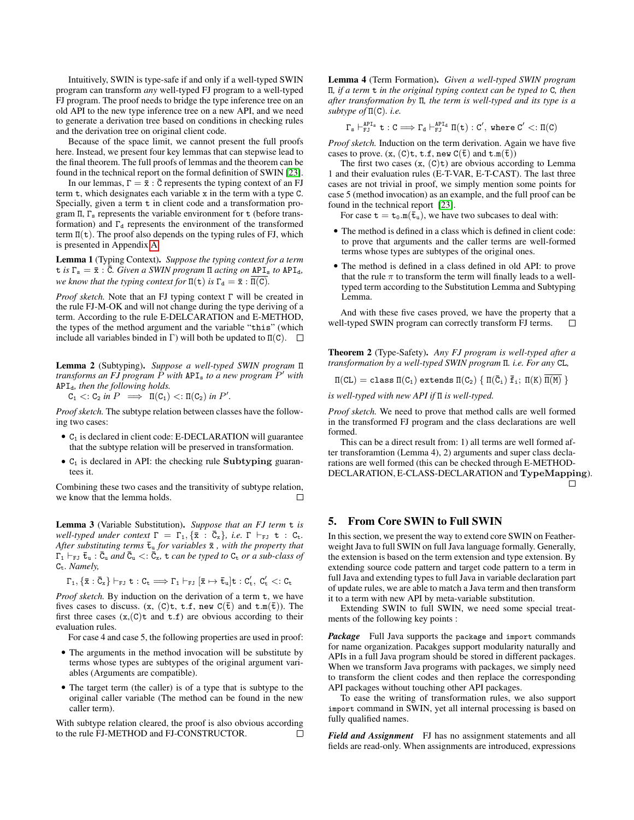Intuitively, SWIN is type-safe if and only if a well-typed SWIN program can transform *any* well-typed FJ program to a well-typed FJ program. The proof needs to bridge the type inference tree on an old API to the new type inference tree on a new API, and we need to generate a derivation tree based on conditions in checking rules and the derivation tree on original client code.

Because of the space limit, we cannot present the full proofs here. Instead, we present four key lemmas that can stepwise lead to the final theorem. The full proofs of lemmas and the theorem can be found in the technical report on the formal definition of SWIN [\[23\]](#page-11-7).

In our lemmas,  $\Gamma = \bar{x}$ :  $\bar{C}$  represents the typing context of an FJ term t, which designates each variable x in the term with a type C. Specially, given a term t in client code and a transformation program  $\Pi$ ,  $\Gamma_s$  represents the variable environment for t (before transformation) and  $\Gamma_d$  represents the environment of the transformed term  $\Pi(t)$ . The proof also depends on the typing rules of FJ, which is presented in Appendix [A.](#page-11-6)

Lemma 1 (Typing Context). *Suppose the typing context for a term* t *is* Γ<sup>s</sup> = ¯x : ¯C*. Given a SWIN program* Π *acting on* API<sup>s</sup> *to* APId*, we know that the typing context for*  $\Pi(t)$  *is*  $\Gamma_d = \bar{x} : \Pi(C)$ *.* 

*Proof sketch.* Note that an FJ typing context Γ will be created in the rule FJ-M-OK and will not change during the type deriving of a term. According to the rule E-DELCARATION and E-METHOD, the types of the method argument and the variable "this" (which include all variables binded in Γ) will both be updated to  $\Pi(C)$ .  $\Box$ 

Lemma 2 (Subtyping). *Suppose a well-typed SWIN program* Π *transforms an FJ program* P *with* API<sup>s</sup> *to a new program* P <sup>0</sup> *with* APId*, then the following holds.*

 $C_1$  <:  $C_2$  *in*  $P \implies \Pi(C_1)$  <:  $\Pi(C_2)$  *in*  $P'$ *.* 

*Proof sketch.* The subtype relation between classes have the following two cases:

- $\bullet$  C<sub>1</sub> is declared in client code: E-DECLARATION will guarantee that the subtype relation will be preserved in transformation.
- $\bullet$  C<sub>1</sub> is declared in API: the checking rule Subtyping guarantees it.

Combining these two cases and the transitivity of subtype relation, we know that the lemma holds.  $\Box$ 

Lemma 3 (Variable Substitution). *Suppose that an FJ term* t *is well-typed under context*  $\Gamma = \Gamma_1, {\bar{x} : \bar{C}_x}$ *, i.e.*  $\Gamma \vdash_{FJ} t : C_t$ *. After substituting terms*  $\bar{t}_u$  *for variables*  $\bar{x}$  *, with the property that*  $\Gamma_1 \vdash_{FJ} \overline{t}_u : \overline{C}_u$  *and*  $\overline{C}_u <: \overline{C}_x$ *, t can be typed to*  $C_t$  *or a sub-class of* Ct*. Namely,*

 $\Gamma_1, \{\bar{\mathtt{x}} : \bar{\mathtt{C}}_{\mathtt{x}}\} \vdash_{\mathtt{FJ}} \mathtt{t} : \mathtt{C}_{\mathtt{t}} \Longrightarrow \Gamma_1 \vdash_{\mathtt{FJ}} [\bar{\mathtt{x}} \mapsto \bar{\mathtt{t}}_{\mathtt{u}}] \mathtt{t} : \mathtt{C}'_{\mathtt{t}}, \ \mathtt{C}'_{\mathtt{t}} <: \mathtt{C}_{\mathtt{t}}$ 

*Proof sketch.* By induction on the derivation of a term t, we have fives cases to discuss. (x,  $(C)$ t, t.f, new  $C(\bar{t})$  and  $t \cdot m(\bar{t})$ ). The first three cases  $(x,(C)t)$  and  $t.f$ ) are obvious according to their evaluation rules.

For case 4 and case 5, the following properties are used in proof:

- The arguments in the method invocation will be substitute by terms whose types are subtypes of the original argument variables (Arguments are compatible).
- The target term (the caller) is of a type that is subtype to the original caller variable (The method can be found in the new caller term).

With subtype relation cleared, the proof is also obvious according to the rule FJ-METHOD and FJ-CONSTRUCTOR. П

Lemma 4 (Term Formation). *Given a well-typed SWIN program* Π*, if a term* t *in the original typing context can be typed to* C*, then after transformation by* Π*, the term is well-typed and its type is a subtype of* Π(C)*. i.e.*

 $\Gamma_{\rm s}\vdash_{\rm FJ}^{\tt API_{s}}\mathtt{t}: \tt C\Longrightarrow \Gamma_{d}\vdash_{\rm FJ}^{\tt API_{d}}\Pi(\mathtt{t}): \tt C',\text{ where } \tt C' <: \Pi(\tt C)$ 

*Proof sketch.* Induction on the term derivation. Again we have five cases to prove.  $(x, (C)t, t.f, new C(\bar{t})$  and  $t.m(\bar{t}))$ 

The first two cases  $(x, (C)t)$  are obvious according to Lemma 1 and their evaluation rules (E-T-VAR, E-T-CAST). The last three cases are not trivial in proof, we simply mention some points for case 5 (method invocation) as an example, and the full proof can be found in the technical report [\[23\]](#page-11-7).

For case  $t = t_0.m(\bar{t}_u)$ , we have two subcases to deal with:

- The method is defined in a class which is defined in client code: to prove that arguments and the caller terms are well-formed terms whose types are subtypes of the original ones.
- The method is defined in a class defined in old API: to prove that the rule  $\pi$  to transform the term will finally leads to a welltyped term according to the Substitution Lemma and Subtyping Lemma.

And with these five cases proved, we have the property that a well-typed SWIN program can correctly transform FJ terms.  $\Box$ 

Theorem 2 (Type-Safety). *Any FJ program is well-typed after a transformation by a well-typed SWIN program* Π*. i.e. For any* CL*,*

 $\Pi({\rm CL}) = {\rm class} \Pi({\rm C}_1)$  extends  $\Pi({\rm C}_2) \{ \Pi(\bar{{\rm C}}_i) \bar{{\rm F}}_i; \Pi(K) \overline{\Pi(M)} \}$ 

*is well-typed with new API if* Π *is well-typed.*

*Proof sketch.* We need to prove that method calls are well formed in the transformed FJ program and the class declarations are well formed.

This can be a direct result from: 1) all terms are well formed after transforamtion (Lemma 4), 2) arguments and super class declarations are well formed (this can be checked through E-METHOD-DECLARATION, E-CLASS-DECLARATION and TypeMapping). П

# <span id="page-7-0"></span>5. From Core SWIN to Full SWIN

In this section, we present the way to extend core SWIN on Featherweight Java to full SWIN on full Java language formally. Generally, the extension is based on the term extension and type extension. By extending source code pattern and target code pattern to a term in full Java and extending types to full Java in variable declaration part of update rules, we are able to match a Java term and then transform it to a term with new API by meta-variable substitution.

Extending SWIN to full SWIN, we need some special treatments of the following key points :

*Package* Full Java supports the package and import commands for name organization. Pacakges support modularity naturally and APIs in a full Java program should be stored in different packages. When we transform Java programs with packages, we simply need to transform the client codes and then replace the corresponding API packages without touching other API packages.

To ease the writing of transformation rules, we also support import command in SWIN, yet all internal processing is based on fully qualified names.

*Field and Assignment* FJ has no assignment statements and all fields are read-only. When assignments are introduced, expressions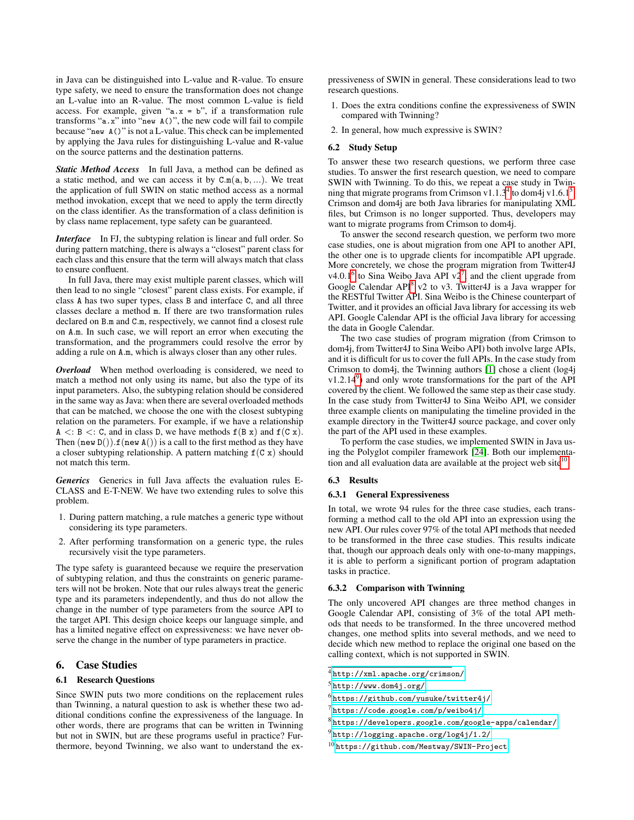in Java can be distinguished into L-value and R-value. To ensure type safety, we need to ensure the transformation does not change an L-value into an R-value. The most common L-value is field access. For example, given " $a.x = b$ ", if a transformation rule transforms "a.x" into "new A()", the new code will fail to compile because "new A()" is not a L-value. This check can be implemented by applying the Java rules for distinguishing L-value and R-value on the source patterns and the destination patterns.

*Static Method Access* In full Java, a method can be defined as a static method, and we can access it by  $C.m(a, b, ...)$ . We treat the application of full SWIN on static method access as a normal method invokation, except that we need to apply the term directly on the class identifier. As the transformation of a class definition is by class name replacement, type safety can be guaranteed.

*Interface* In FJ, the subtyping relation is linear and full order. So during pattern matching, there is always a "closest" parent class for each class and this ensure that the term will always match that class to ensure confluent.

In full Java, there may exist multiple parent classes, which will then lead to no single "closest" parent class exists. For example, if class A has two super types, class B and interface C, and all three classes declare a method m. If there are two transformation rules declared on B.m and C.m, respectively, we cannot find a closest rule on A.m. In such case, we will report an error when executing the transformation, and the programmers could resolve the error by adding a rule on A.m, which is always closer than any other rules.

*Overload* When method overloading is considered, we need to match a method not only using its name, but also the type of its input parameters. Also, the subtyping relation should be considered in the same way as Java: when there are several overloaded methods that can be matched, we choose the one with the closest subtyping relation on the parameters. For example, if we have a relationship  $A \leq B \leq C$ , and in class D, we have methods  $f(B x)$  and  $f(C x)$ . Then  $(new D())$ .  $f(new A())$  is a call to the first method as they have a closer subtyping relationship. A pattern matching  $f(C x)$  should not match this term.

*Generics* Generics in full Java affects the evaluation rules E-CLASS and E-T-NEW. We have two extending rules to solve this problem.

- 1. During pattern matching, a rule matches a generic type without considering its type parameters.
- 2. After performing transformation on a generic type, the rules recursively visit the type parameters.

The type safety is guaranteed because we require the preservation of subtyping relation, and thus the constraints on generic parameters will not be broken. Note that our rules always treat the generic type and its parameters independently, and thus do not allow the change in the number of type parameters from the source API to the target API. This design choice keeps our language simple, and has a limited negative effect on expressiveness: we have never observe the change in the number of type parameters in practice.

# <span id="page-8-0"></span>6. Case Studies

## 6.1 Research Questions

Since SWIN puts two more conditions on the replacement rules than Twinning, a natural question to ask is whether these two additional conditions confine the expressiveness of the language. In other words, there are programs that can be written in Twinning but not in SWIN, but are these programs useful in practice? Furthermore, beyond Twinning, we also want to understand the ex-

pressiveness of SWIN in general. These considerations lead to two research questions.

- 1. Does the extra conditions confine the expressiveness of SWIN compared with Twinning?
- 2. In general, how much expressive is SWIN?

#### 6.2 Study Setup

To answer these two research questions, we perform three case studies. To answer the first research question, we need to compare SWIN with Twinning. To do this, we repeat a case study in Twin-ning that migrate programs from Crimson v1.1.3<sup>[4](#page-8-1)</sup> to dom4j v1.6.1<sup>[5](#page-8-2)</sup>. Crimson and dom4j are both Java libraries for manipulating XML files, but Crimson is no longer supported. Thus, developers may want to migrate programs from Crimson to dom4j.

To answer the second research question, we perform two more case studies, one is about migration from one API to another API, the other one is to upgrade clients for incompatible API upgrade. More concretely, we chose the program migration from Twitter4J v4.0.1<sup>[6](#page-8-3)</sup> to Sina Weibo Java API  $v2^7$  $v2^7$ , and the client upgrade from Google Calendar API<sup>[8](#page-8-5)</sup> v2 to v3. Twitter4J is a Java wrapper for the RESTful Twitter API. Sina Weibo is the Chinese counterpart of Twitter, and it provides an official Java library for accessing its web API. Google Calendar API is the official Java library for accessing the data in Google Calendar.

The two case studies of program migration (from Crimson to dom4j, from Twitter4J to Sina Weibo API) both involve large APIs, and it is difficult for us to cover the full APIs. In the case study from Crimson to dom4j, the Twinning authors [\[1\]](#page-10-0) chose a client (log4j  $v1.2.14<sup>9</sup>$  $v1.2.14<sup>9</sup>$  $v1.2.14<sup>9</sup>$ ) and only wrote transformations for the part of the API covered by the client. We followed the same step as their case study. In the case study from Twitter4J to Sina Weibo API, we consider three example clients on manipulating the timeline provided in the example directory in the Twitter4J source package, and cover only the part of the API used in these examples.

To perform the case studies, we implemented SWIN in Java using the Polyglot compiler framework [\[24\]](#page-11-8). Both our implementation and all evaluation data are available at the project web site $10$ .

#### <span id="page-8-8"></span>6.3 Results

# 6.3.1 General Expressiveness

In total, we wrote 94 rules for the three case studies, each transforming a method call to the old API into an expression using the new API. Our rules cover 97% of the total API methods that needed to be transformed in the three case studies. This results indicate that, though our approach deals only with one-to-many mappings, it is able to perform a significant portion of program adaptation tasks in practice.

#### 6.3.2 Comparison with Twinning

The only uncovered API changes are three method changes in Google Calendar API, consisting of 3% of the total API methods that needs to be transformed. In the three uncovered method changes, one method splits into several methods, and we need to decide which new method to replace the original one based on the calling context, which is not supported in SWIN.

<span id="page-8-1"></span><sup>4</sup> <http://xml.apache.org/crimson/>

<span id="page-8-2"></span> $5$ <http://www.dom4j.org/>

<span id="page-8-3"></span><sup>6</sup> <https://github.com/yusuke/twitter4j/>

<span id="page-8-4"></span> $7$ <https://code.google.com/p/weibo4j/>

<span id="page-8-5"></span><sup>8</sup> <https://developers.google.com/google-apps/calendar/>

<span id="page-8-6"></span><sup>9</sup> <http://logging.apache.org/log4j/1.2/>

<span id="page-8-7"></span><sup>10</sup> <https://github.com/Mestway/SWIN-Project>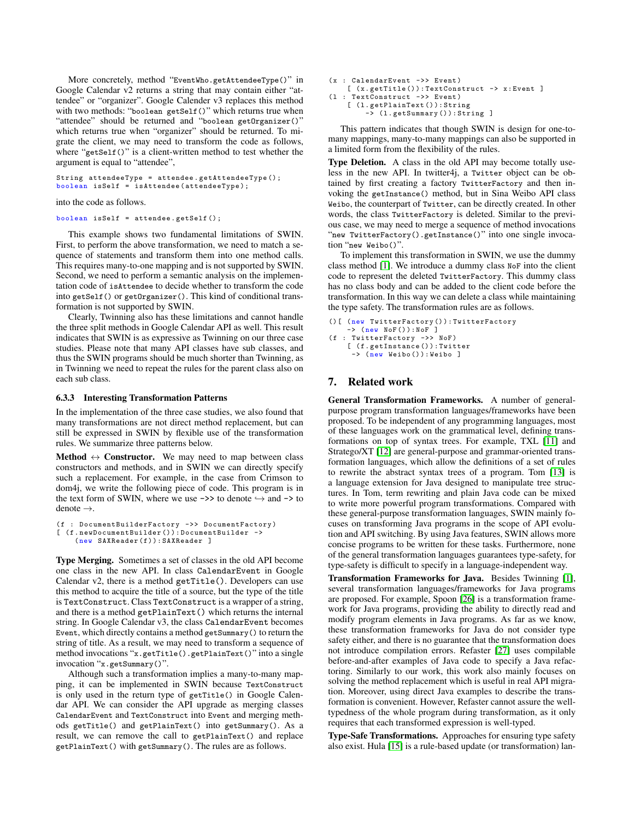More concretely, method "EventWho.getAttendeeType()" in Google Calendar v2 returns a string that may contain either "attendee" or "organizer". Google Calender v3 replaces this method with two methods: "boolean getSelf()" which returns true when "attendee" should be returned and "boolean getOrganizer()" which returns true when "organizer" should be returned. To migrate the client, we may need to transform the code as follows, where "getSelf()" is a client-written method to test whether the argument is equal to "attendee",

```
String attendeeType = attendee . getAttendeeType () ;
boolean isSelf = isAttendee ( attendeeType );
```
#### into the code as follows.

boolean isSelf = attendee . getSelf () ;

This example shows two fundamental limitations of SWIN. First, to perform the above transformation, we need to match a sequence of statements and transform them into one method calls. This requires many-to-one mapping and is not supported by SWIN. Second, we need to perform a semantic analysis on the implementation code of isAttendee to decide whether to transform the code into getSelf() or getOrganizer(). This kind of conditional transformation is not supported by SWIN.

Clearly, Twinning also has these limitations and cannot handle the three split methods in Google Calendar API as well. This result indicates that SWIN is as expressive as Twinning on our three case studies. Please note that many API classes have sub classes, and thus the SWIN programs should be much shorter than Twinning, as in Twinning we need to repeat the rules for the parent class also on each sub class.

#### 6.3.3 Interesting Transformation Patterns

In the implementation of the three case studies, we also found that many transformations are not direct method replacement, but can still be expressed in SWIN by flexible use of the transformation rules. We summarize three patterns below.

Method  $\leftrightarrow$  Constructor. We may need to map between class constructors and methods, and in SWIN we can directly specify such a replacement. For example, in the case from Crimson to dom4j, we write the following piece of code. This program is in the text form of SWIN, where we use  $\rightarrow$  to denote  $\rightarrow$  and  $\rightarrow$  to denote →.

```
(f : DocumentBuilderFactory ->> DocumentFactory )
[ (f. newDocumentBuilder () ): DocumentBuilder ->
    (new SAXReader (f)): SAXReader ]
```
Type Merging. Sometimes a set of classes in the old API become one class in the new API. In class CalendarEvent in Google Calendar v2, there is a method getTitle(). Developers can use this method to acquire the title of a source, but the type of the title is TextConstruct. Class TextConstruct is a wrapper of a string, and there is a method getPlainText() which returns the internal string. In Google Calendar v3, the class CalendarEvent becomes Event, which directly contains a method getSummary() to return the string of title. As a result, we may need to transform a sequence of method invocations "x.getTitle().getPlainText()" into a single invocation "x.getSummary()".

Although such a transformation implies a many-to-many mapping, it can be implemented in SWIN because TextConstruct is only used in the return type of getTitle() in Google Calendar API. We can consider the API upgrade as merging classes CalendarEvent and TextConstruct into Event and merging methods getTitle() and getPlainText() into getSummary(). As a result, we can remove the call to getPlainText() and replace getPlainText() with getSummary(). The rules are as follows.

```
(x : CalendarEvent ->> Event)
    [ (x. getTitle () ): TextConstruct -> x : Event ]
(l : TextConstruct ->> Event )
    [ (l. getPlainText () ) : String
         -> (l . getSummary () ) : String ]
```
This pattern indicates that though SWIN is design for one-tomany mappings, many-to-many mappings can also be supported in a limited form from the flexibility of the rules.

Type Deletion. A class in the old API may become totally useless in the new API. In twitter4j, a Twitter object can be obtained by first creating a factory TwitterFactory and then invoking the getInstance() method, but in Sina Weibo API class Weibo, the counterpart of Twitter, can be directly created. In other words, the class TwitterFactory is deleted. Similar to the previous case, we may need to merge a sequence of method invocations "new TwitterFactory().getInstance()" into one single invocation "new Weibo()".

To implement this transformation in SWIN, we use the dummy class method [\[1\]](#page-10-0). We introduce a dummy class NoF into the client code to represent the deleted TwitterFactory. This dummy class has no class body and can be added to the client code before the transformation. In this way we can delete a class while maintaining the type safety. The transformation rules are as follows.

```
() [ ( new TwitterFactory () ) : TwitterFactory
    -> ( new NoF () ): NoF ]
(f : TwitterFactory ->> NoF )
    [ (f. getInstance () ): Twitter
     -> ( new Weibo () ): Weibo ]
```
# <span id="page-9-0"></span>7. Related work

General Transformation Frameworks. A number of generalpurpose program transformation languages/frameworks have been proposed. To be independent of any programming languages, most of these languages work on the grammatical level, defining transformations on top of syntax trees. For example, TXL [\[11\]](#page-10-1) and Stratego/XT [\[12\]](#page-10-2) are general-purpose and grammar-oriented transformation languages, which allow the definitions of a set of rules to rewrite the abstract syntax trees of a program. Tom [\[13\]](#page-11-1) is a language extension for Java designed to manipulate tree structures. In Tom, term rewriting and plain Java code can be mixed to write more powerful program transformations. Compared with these general-purpose transformation languages, SWIN mainly focuses on transforming Java programs in the scope of API evolution and API switching. By using Java features, SWIN allows more concise programs to be written for these tasks. Furthermore, none of the general transformation languages guarantees type-safety, for type-safety is difficult to specify in a language-independent way.

Transformation Frameworks for Java. Besides Twinning [\[1\]](#page-10-0), several transformation languages/frameworks for Java programs are proposed. For example, Spoon [\[26\]](#page-11-9) is a transformation framework for Java programs, providing the ability to directly read and modify program elements in Java programs. As far as we know, these transformation frameworks for Java do not consider type safety either, and there is no guarantee that the transformation does not introduce compilation errors. Refaster [\[27\]](#page-11-10) uses compilable before-and-after examples of Java code to specify a Java refactoring. Similarly to our work, this work also mainly focuses on solving the method replacement which is useful in real API migration. Moreover, using direct Java examples to describe the transformation is convenient. However, Refaster cannot assure the welltypedness of the whole program during transformation, as it only requires that each transformed expression is well-typed.

Type-Safe Transformations. Approaches for ensuring type safety also exist. Hula [\[15\]](#page-11-11) is a rule-based update (or transformation) lan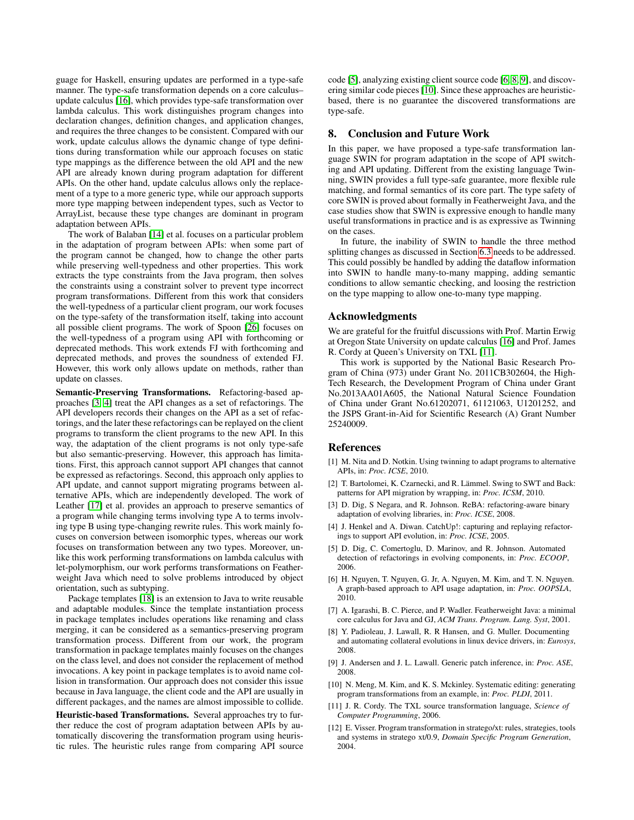guage for Haskell, ensuring updates are performed in a type-safe manner. The type-safe transformation depends on a core calculus– update calculus [\[16\]](#page-11-12), which provides type-safe transformation over lambda calculus. This work distinguishes program changes into declaration changes, definition changes, and application changes, and requires the three changes to be consistent. Compared with our work, update calculus allows the dynamic change of type definitions during transformation while our approach focuses on static type mappings as the difference between the old API and the new API are already known during program adaptation for different APIs. On the other hand, update calculus allows only the replacement of a type to a more generic type, while our approach supports more type mapping between independent types, such as Vector to ArrayList, because these type changes are dominant in program adaptation between APIs.

The work of Balaban [\[14\]](#page-11-13) et al. focuses on a particular problem in the adaptation of program between APIs: when some part of the program cannot be changed, how to change the other parts while preserving well-typedness and other properties. This work extracts the type constraints from the Java program, then solves the constraints using a constraint solver to prevent type incorrect program transformations. Different from this work that considers the well-typedness of a particular client program, our work focuses on the type-safety of the transformation itself, taking into account all possible client programs. The work of Spoon [\[26\]](#page-11-9) focuses on the well-typedness of a program using API with forthcoming or deprecated methods. This work extends FJ with forthcoming and deprecated methods, and proves the soundness of extended FJ. However, this work only allows update on methods, rather than update on classes.

Semantic-Preserving Transformations. Refactoring-based approaches [\[3,](#page-10-6) [4\]](#page-10-7) treat the API changes as a set of refactorings. The API developers records their changes on the API as a set of refactorings, and the later these refactorings can be replayed on the client programs to transform the client programs to the new API. In this way, the adaptation of the client programs is not only type-safe but also semantic-preserving. However, this approach has limitations. First, this approach cannot support API changes that cannot be expressed as refactorings. Second, this approach only applies to API update, and cannot support migrating programs between alternative APIs, which are independently developed. The work of Leather [\[17\]](#page-11-14) et al. provides an approach to preserve semantics of a program while changing terms involving type A to terms involving type B using type-changing rewrite rules. This work mainly focuses on conversion between isomorphic types, whereas our work focuses on transformation between any two types. Moreover, unlike this work performing transformations on lambda calculus with let-polymorphism, our work performs transformations on Featherweight Java which need to solve problems introduced by object orientation, such as subtyping.

Package templates [\[18\]](#page-11-15) is an extension to Java to write reusable and adaptable modules. Since the template instantiation process in package templates includes operations like renaming and class merging, it can be considered as a semantics-preserving program transformation process. Different from our work, the program transformation in package templates mainly focuses on the changes on the class level, and does not consider the replacement of method invocations. A key point in package templates is to avoid name collision in transformation. Our approach does not consider this issue because in Java language, the client code and the API are usually in different packages, and the names are almost impossible to collide.

Heuristic-based Transformations. Several approaches try to further reduce the cost of program adaptation between APIs by automatically discovering the transformation program using heuristic rules. The heuristic rules range from comparing API source

code [\[5\]](#page-10-8), analyzing existing client source code [\[6,](#page-10-9) [8,](#page-10-10) [9\]](#page-10-11), and discovering similar code pieces [\[10\]](#page-10-12). Since these approaches are heuristicbased, there is no guarantee the discovered transformations are type-safe.

## <span id="page-10-4"></span>8. Conclusion and Future Work

In this paper, we have proposed a type-safe transformation language SWIN for program adaptation in the scope of API switching and API updating. Different from the existing language Twinning, SWIN provides a full type-safe guarantee, more flexible rule matching, and formal semantics of its core part. The type safety of core SWIN is proved about formally in Featherweight Java, and the case studies show that SWIN is expressive enough to handle many useful transformations in practice and is as expressive as Twinning on the cases.

In future, the inability of SWIN to handle the three method splitting changes as discussed in Section [6.3](#page-8-8) needs to be addressed. This could possibly be handled by adding the dataflow information into SWIN to handle many-to-many mapping, adding semantic conditions to allow semantic checking, and loosing the restriction on the type mapping to allow one-to-many type mapping.

## Acknowledgments

We are grateful for the fruitful discussions with Prof. Martin Erwig at Oregon State University on update calculus [\[16\]](#page-11-12) and Prof. James R. Cordy at Queen's University on TXL [\[11\]](#page-10-1).

This work is supported by the National Basic Research Program of China (973) under Grant No. 2011CB302604, the High-Tech Research, the Development Program of China under Grant No.2013AA01A605, the National Natural Science Foundation of China under Grant No.61202071, 61121063, U1201252, and the JSPS Grant-in-Aid for Scientific Research (A) Grant Number 25240009.

## References

- <span id="page-10-0"></span>[1] M. Nita and D. Notkin. Using twinning to adapt programs to alternative APIs, in: *Proc. ICSE*, 2010.
- <span id="page-10-5"></span>[2] T. Bartolomei, K. Czarnecki, and R. Lämmel. Swing to SWT and Back: patterns for API migration by wrapping, in: *Proc. ICSM*, 2010.
- <span id="page-10-6"></span>[3] D. Dig, S Negara, and R. Johnson. ReBA: refactoring-aware binary adaptation of evolving libraries, in: *Proc. ICSE*, 2008.
- <span id="page-10-7"></span>[4] J. Henkel and A. Diwan. CatchUp!: capturing and replaying refactorings to support API evolution, in: *Proc. ICSE*, 2005.
- <span id="page-10-8"></span>[5] D. Dig, C. Comertoglu, D. Marinov, and R. Johnson. Automated detection of refactorings in evolving components, in: *Proc. ECOOP*, 2006.
- <span id="page-10-9"></span>[6] H. Nguyen, T. Nguyen, G. Jr, A. Nguyen, M. Kim, and T. N. Nguyen. A graph-based approach to API usage adaptation, in: *Proc. OOPSLA*, 2010.
- <span id="page-10-3"></span>[7] A. Igarashi, B. C. Pierce, and P. Wadler. Featherweight Java: a minimal core calculus for Java and GJ, *ACM Trans. Program. Lang. Syst*, 2001.
- <span id="page-10-10"></span>[8] Y. Padioleau, J. Lawall, R. R Hansen, and G. Muller. Documenting and automating collateral evolutions in linux device drivers, in: *Eurosys*, 2008.
- <span id="page-10-11"></span>[9] J. Andersen and J. L. Lawall. Generic patch inference, in: *Proc. ASE*, 2008.
- <span id="page-10-12"></span>[10] N. Meng, M. Kim, and K. S. Mckinley. Systematic editing: generating program transformations from an example, in: *Proc. PLDI*, 2011.
- <span id="page-10-1"></span>[11] J. R. Cordy. The TXL source transformation language, *Science of Computer Programming*, 2006.
- <span id="page-10-2"></span>[12] E. Visser. Program transformation in stratego/xt: rules, strategies, tools and systems in stratego xt/0.9, *Domain Specific Program Generation*, 2004.